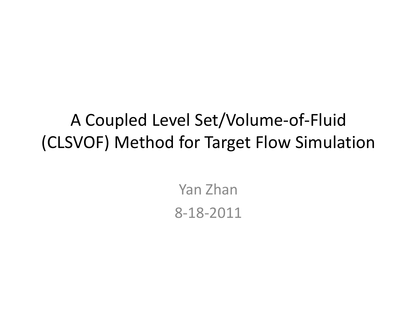#### A Coupled Level Set/Volume-of-Fluid (CLSVOF) Method for Target Flow Simulation

Yan Zhan 8-18-2011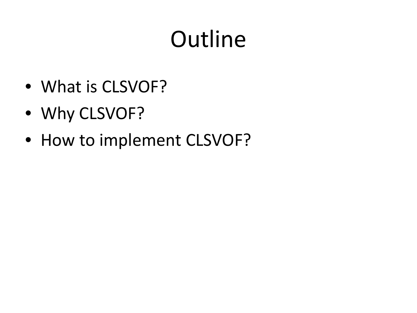# **Outline**

- What is CLSVOF?
- Why CLSVOF?
- How to implement CLSVOF?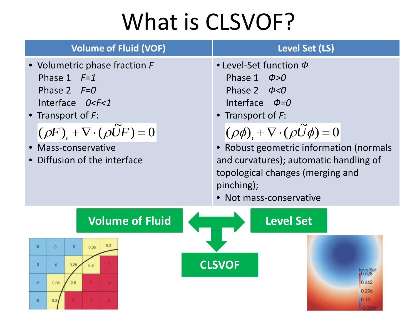## What is CLSVOF?

| <b>Volume of Fluid (VOF)</b>                                                                                                                                                                                                                            | <b>Level Set (LS)</b>                                                                                                                                                                                                                                                                                                                                    |
|---------------------------------------------------------------------------------------------------------------------------------------------------------------------------------------------------------------------------------------------------------|----------------------------------------------------------------------------------------------------------------------------------------------------------------------------------------------------------------------------------------------------------------------------------------------------------------------------------------------------------|
| • Volumetric phase fraction F<br>Phase $1$ $F=1$<br>Phase 2 $F=0$<br>Interface 0 <f<1<br>• Transport of <math>F</math>:<br/><math>(\rho F)_+ + \nabla \cdot (\rho \tilde{U} F) = 0</math><br/>Mass-conservative<br/>Diffusion of the interface</f<1<br> | • Level-Set function $\Phi$<br>$\phi > 0$<br>Phase 1<br>Phase 2 $\phi < 0$<br>Interface $\Phi=0$<br>• Transport of $F$ :<br>$(\rho \phi) + \nabla \cdot (\rho \widetilde{U} \phi) = 0$<br>• Robust geometric information (normals<br>and curvatures); automatic handling of<br>topological changes (merging and<br>pinching);<br>• Not mass-conservative |
| <b>Volume of Fluid</b><br>0,3<br>$\Omega$<br>$\bf{0}$<br>$\alpha$<br>0.05<br>$\circ$<br>$\overline{0}$<br>0.25<br>0.8<br>0,8<br>0.05<br>$\mathbf{0}$<br>$\bf{0}$<br>0.3                                                                                 | <b>Level Set</b><br><b>CLSVOF</b><br>$_{0.628}^{e}$<br>0.462<br>0.296<br>0, 13<br>0.0359                                                                                                                                                                                                                                                                 |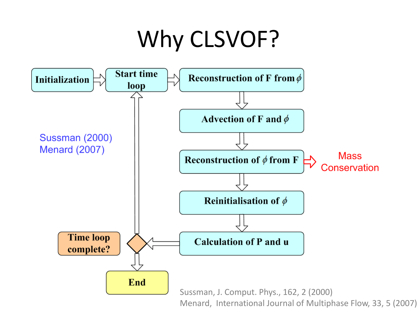# Why CLSVOF?



Menard, International Journal of Multiphase Flow, 33, 5 (2007)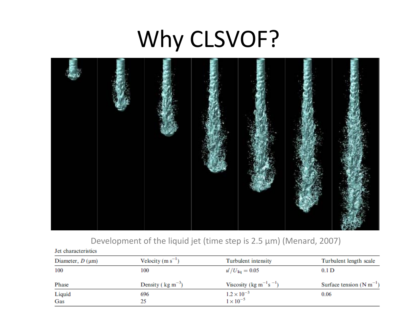# Why CLSVOF?



#### Development of the liquid jet (time step is 2.5 μm) (Menard, 2007)

| Jet characteristics      |                                |                                                                           |                              |
|--------------------------|--------------------------------|---------------------------------------------------------------------------|------------------------------|
| Diameter, $D$ ( $\mu$ m) | Velocity $(m s^{-1})$          | Turbulent intensity                                                       | Turbulent length scale       |
| 100                      | 100                            | $u^{\prime}/U_{\text{liq}} = 0.05$                                        | 0.1 <sub>D</sub>             |
| Phase                    | Density ( $\text{kg m}^{-3}$ ) | Viscosity (kg m <sup><math>-1</math></sup> s <sup><math>-1</math></sup> ) | Surface tension $(N m^{-1})$ |
| Liquid                   | 696                            | $1.2 \times 10^{-3}$                                                      | 0.06                         |
| Gas                      | 25                             | $1 \times 10^{-5}$                                                        |                              |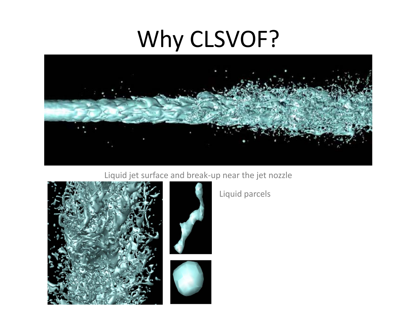#### Why CLSVOF?



Liquid jet surface and break-up near the jet nozzle







Liquid parcels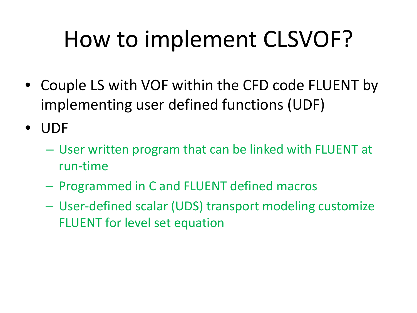- Couple LS with VOF within the CFD code FLUENT by implementing user defined functions (UDF)
- UDF
	- User written program that can be linked with FLUENT at run-time
	- Programmed in C and FLUENT defined macros
	- User-defined scalar (UDS) transport modeling customize FLUENT for level set equation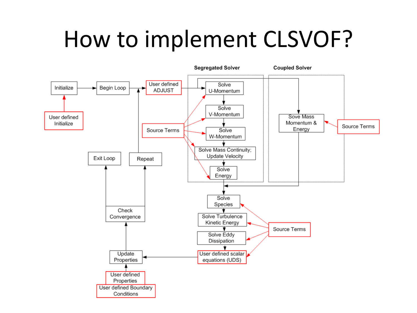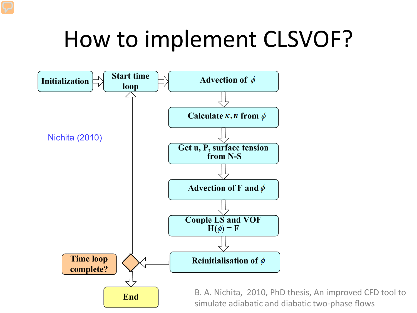

B. A. Nichita, 2010, PhD thesis, An improved CFD tool to simulate adiabatic and diabatic two-phase flows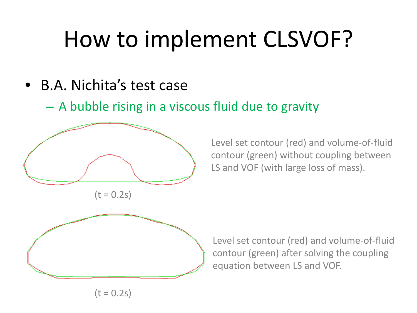- <span id="page-9-0"></span>• B.A. Nichita's test case
	- A bubble rising in a viscous fluid due to gravity



Level set contour (red) and volume-of-fluid contour (green) without coupling between LS and VOF (with large loss of mass).



 $(t = 0.2s)$ 

Level set contour (red) and volume-of-fluid contour (green) after solving the coupling equation between LS and VOF.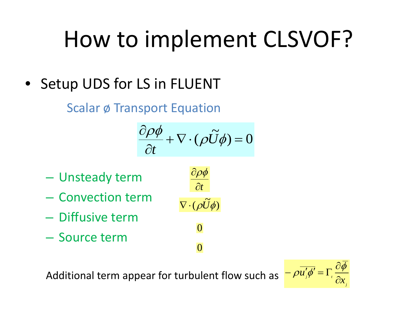• Setup UDS for LS in FLUENT

Scalar ø Transport Equation

$$
\frac{\partial \rho \phi}{\partial t} + \nabla \cdot (\rho \widetilde{U} \phi) = 0
$$

 $\nabla \cdot (\rho \widetilde{U} \phi)$ 

0

0

∂*t*

∂ρφ

- Unsteady term
- Convection term
- Diffusive term
- Source term

Additional term appear for turbulent flow such as

$$
-\rho \overline{u'_j \phi'} = \Gamma_j \frac{\partial \overline{\phi}}{\partial x_j}
$$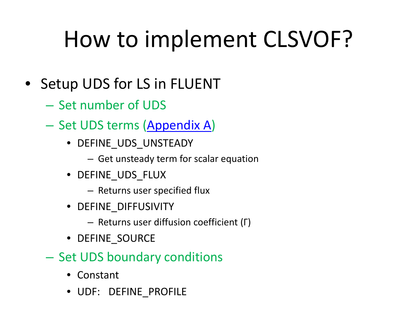- Setup UDS for LS in FLUENT
	- Set number of UDS
	- Set UDS terms ([Appendix A](#page-9-0))
		- DEFINE\_UDS\_UNSTEADY
			- Get unsteady term for scalar equation
		- DEFINE\_UDS\_FLUX
			- Returns user specified flux
		- DEFINE DIFFUSIVITY
			- Returns user diffusion coefficient (Γ)
		- DEFINE SOURCE
	- Set UDS boundary conditions
		- Constant
		- UDF: DEFINE\_PROFILE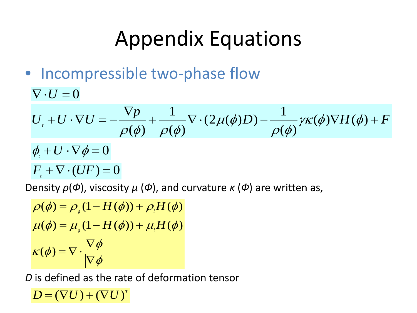#### Appendix Equations

- Incompressible two-phase flow
	- $\nabla \cdot U = 0$

$$
U_{i} + U \cdot \nabla U = -\frac{\nabla p}{\rho(\phi)} + \frac{1}{\rho(\phi)} \nabla \cdot (2\mu(\phi)D) - \frac{1}{\rho(\phi)} \gamma \kappa(\phi) \nabla H(\phi) + F
$$

$$
\phi_t + U \cdot \nabla \phi = 0
$$

$$
F_{\iota}+\nabla\cdot(UF)=0
$$

Density *ρ*(*Ф*), viscosity *μ* (*Ф*), and curvature *κ* (*Ф*) are written as,

 $|\phi|$  $\kappa(\phi) = \nabla \cdot \frac{\nabla \phi}{\nabla \phi}$  $\mu(\phi) = \mu_{s}(1 - H(\phi)) + \mu_{t}H(\phi)$  $\rho(\phi) = \rho_{\rm g} (1 - H(\phi)) + \rho_{\rm g} H(\phi)$ ∇ ∇  $\overline{(\phi)} = \nabla \cdot$ 

*D* is defined as the rate of deformation tensor

 $D = (\nabla U) + (\nabla U)^{T}$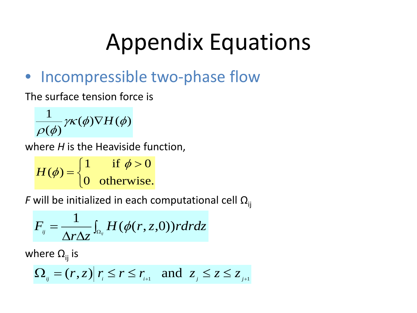# Appendix Equations

#### • Incompressible two-phase flow

The surface tension force is

$$
\frac{1}{\rho(\phi)}\gamma\kappa(\phi)\nabla H(\phi)
$$

where *H* is the Heaviside function,

 $\lfloor$ ノ<br>〜  $\int 1$  if  $\phi >$ = 0 otherwise.  $H(\phi) = \begin{cases} 1 & \text{if } \phi > 0 \\ 0 & \text{if } \phi > 0 \end{cases}$ 

*F* will be initialized in each computational cell  $\Omega_{ij}$ 

$$
F_{ij} = \frac{1}{\Delta r \Delta z} \int_{\Omega_{ij}} H(\phi(r,z,0)) r dr dz
$$

where  $\Omega_{ii}$  is

$$
\Omega_{ij} = (r, z) | r_i \le r \le r_{i+1} \text{ and } z_j \le z \le z_{j+1}
$$